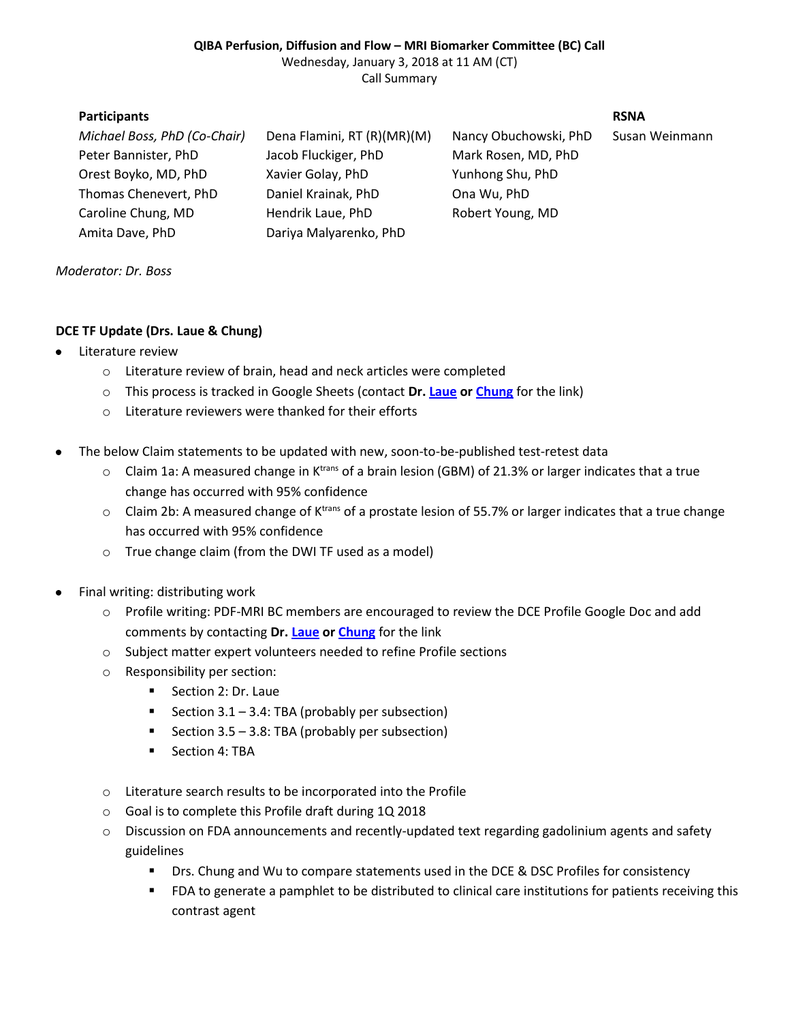### **QIBA Perfusion, Diffusion and Flow – MRI Biomarker Committee (BC) Call** Wednesday, January 3, 2018 at 11 AM (CT) Call Summary

# **Participants RSNA**

*Michael Boss, PhD (Co-Chair)* Dena Flamini, RT (R)(MR)(M) Nancy Obuchowski, PhD Susan Weinmann Peter Bannister, PhD Jacob Fluckiger, PhD Mark Rosen, MD, PhD Orest Boyko, MD, PhD Xavier Golay, PhD Yunhong Shu, PhD Thomas Chenevert, PhD Daniel Krainak, PhD Ona Wu, PhD Caroline Chung, MD Hendrik Laue, PhD Robert Young, MD Amita Dave, PhD Dariya Malyarenko, PhD

## *Moderator: Dr. Boss*

# **DCE TF Update (Drs. Laue & Chung)**

- Literature review
	- o Literature review of brain, head and neck articles were completed
	- o This process is tracked in Google Sheets (contact **Dr[. Laue](mailto:hendrik.laue@mevis.fraunhofer.de) or [Chung](mailto:cchung3@mdanderson.org)** for the link)
	- o Literature reviewers were thanked for their efforts
- $\bullet$ The below Claim statements to be updated with new, soon-to-be-published test-retest data
	- $\circ$  Claim 1a: A measured change in K<sup>trans</sup> of a brain lesion (GBM) of 21.3% or larger indicates that a true change has occurred with 95% confidence
	- $\circ$  Claim 2b: A measured change of K<sup>trans</sup> of a prostate lesion of 55.7% or larger indicates that a true change has occurred with 95% confidence
	- o True change claim (from the DWI TF used as a model)
- Final writing: distributing work  $\bullet$ 
	- o Profile writing: PDF-MRI BC members are encouraged to review the DCE Profile Google Doc and add comments by contacting **Dr. [Laue](mailto:hendrik.laue@mevis.fraunhofer.de) or [Chung](mailto:cchung3@mdanderson.org)** for the link
	- o Subject matter expert volunteers needed to refine Profile sections
	- o Responsibility per section:
		- Section 2: Dr. Laue
		- Section  $3.1 3.4$ : TBA (probably per subsection)
		- Section  $3.5 3.8$ : TBA (probably per subsection)
		- **Section 4: TBA**
	- o Literature search results to be incorporated into the Profile
	- o Goal is to complete this Profile draft during 1Q 2018
	- $\circ$  Discussion on FDA announcements and recently-updated text regarding gadolinium agents and safety guidelines
		- **Drs. Chung and Wu to compare statements used in the DCE & DSC Profiles for consistency**
		- FDA to generate a pamphlet to be distributed to clinical care institutions for patients receiving this contrast agent